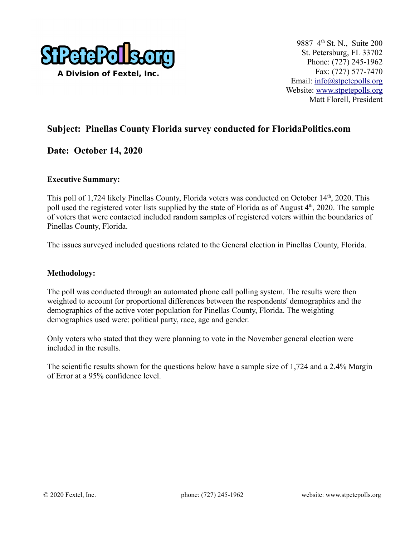

## **Subject: Pinellas County Florida survey conducted for FloridaPolitics.com**

### **Date: October 14, 2020**

#### **Executive Summary:**

This poll of 1,724 likely Pinellas County, Florida voters was conducted on October 14<sup>th</sup>, 2020. This poll used the registered voter lists supplied by the state of Florida as of August 4<sup>th</sup>, 2020. The sample of voters that were contacted included random samples of registered voters within the boundaries of Pinellas County, Florida.

The issues surveyed included questions related to the General election in Pinellas County, Florida.

#### **Methodology:**

The poll was conducted through an automated phone call polling system. The results were then weighted to account for proportional differences between the respondents' demographics and the demographics of the active voter population for Pinellas County, Florida. The weighting demographics used were: political party, race, age and gender.

Only voters who stated that they were planning to vote in the November general election were included in the results.

The scientific results shown for the questions below have a sample size of 1,724 and a 2.4% Margin of Error at a 95% confidence level.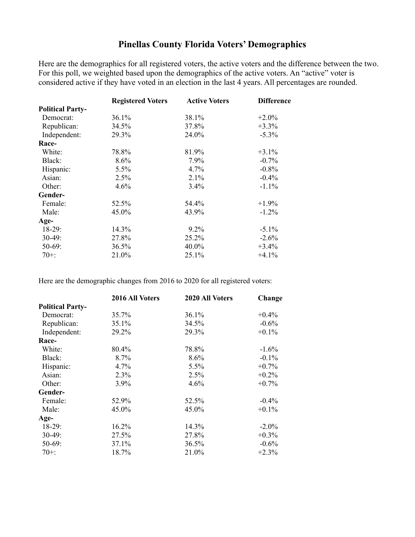## **Pinellas County Florida Voters' Demographics**

Here are the demographics for all registered voters, the active voters and the difference between the two. For this poll, we weighted based upon the demographics of the active voters. An "active" voter is considered active if they have voted in an election in the last 4 years. All percentages are rounded.

|                         | <b>Registered Voters</b> | <b>Active Voters</b> | <b>Difference</b> |
|-------------------------|--------------------------|----------------------|-------------------|
| <b>Political Party-</b> |                          |                      |                   |
| Democrat:               | 36.1%                    | 38.1%                | $+2.0\%$          |
| Republican:             | 34.5%                    | 37.8%                | $+3.3%$           |
| Independent:            | 29.3%                    | 24.0%                | $-5.3\%$          |
| Race-                   |                          |                      |                   |
| White:                  | 78.8%                    | 81.9%                | $+3.1\%$          |
| Black:                  | 8.6%                     | 7.9%                 | $-0.7%$           |
| Hispanic:               | 5.5%                     | 4.7%                 | $-0.8%$           |
| Asian:                  | 2.5%                     | 2.1%                 | $-0.4%$           |
| Other:                  | 4.6%                     | 3.4%                 | $-1.1\%$          |
| Gender-                 |                          |                      |                   |
| Female:                 | 52.5%                    | 54.4%                | $+1.9%$           |
| Male:                   | 45.0%                    | 43.9%                | $-1.2\%$          |
| Age-                    |                          |                      |                   |
| $18-29:$                | 14.3%                    | $9.2\%$              | $-5.1\%$          |
| $30-49:$                | 27.8%                    | 25.2%                | $-2.6%$           |
| $50-69$ :               | 36.5%                    | 40.0%                | $+3.4%$           |
| $70+$ :                 | 21.0%                    | 25.1%                | $+4.1%$           |

Here are the demographic changes from 2016 to 2020 for all registered voters:

|                         | 2016 All Voters | 2020 All Voters | Change   |
|-------------------------|-----------------|-----------------|----------|
| <b>Political Party-</b> |                 |                 |          |
| Democrat:               | 35.7%           | 36.1%           | $+0.4\%$ |
| Republican:             | 35.1%           | 34.5%           | $-0.6\%$ |
| Independent:            | 29.2%           | 29.3%           | $+0.1\%$ |
| Race-                   |                 |                 |          |
| White:                  | 80.4%           | 78.8%           | $-1.6%$  |
| Black:                  | 8.7%            | 8.6%            | $-0.1\%$ |
| Hispanic:               | 4.7%            | 5.5%            | $+0.7%$  |
| Asian:                  | 2.3%            | 2.5%            | $+0.2%$  |
| Other:                  | $3.9\%$         | 4.6%            | $+0.7\%$ |
| Gender-                 |                 |                 |          |
| Female:                 | 52.9%           | 52.5%           | $-0.4%$  |
| Male:                   | 45.0%           | 45.0%           | $+0.1\%$ |
| Age-                    |                 |                 |          |
| $18-29:$                | 16.2%           | 14.3%           | $-2.0\%$ |
| $30-49$ :               | 27.5%           | 27.8%           | $+0.3\%$ |
| $50-69$ :               | 37.1%           | 36.5%           | $-0.6%$  |
| $70+$ :                 | 18.7%           | 21.0%           | $+2.3%$  |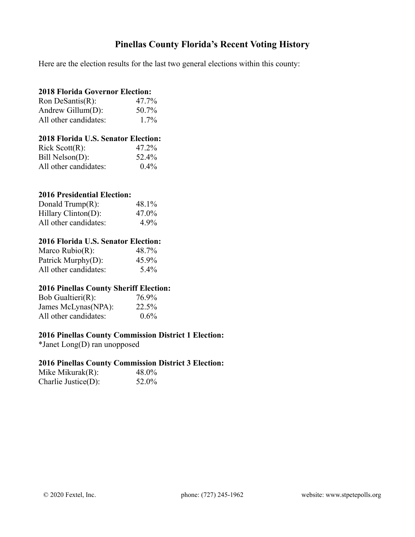## **Pinellas County Florida's Recent Voting History**

Here are the election results for the last two general elections within this county:

### **2018 Florida Governor Election:**

| Ron DeSantis $(R)$ :  | 47.7%   |
|-----------------------|---------|
| Andrew Gillum $(D)$ : | 50.7%   |
| All other candidates: | $1.7\%$ |

#### **2018 Florida U.S. Senator Election:**

| Rick Scott(R):        | 47.2%   |
|-----------------------|---------|
| Bill Nelson(D):       | 52.4%   |
| All other candidates: | $0.4\%$ |

#### **2016 Presidential Election:**

| Donald Trump $(R)$ :   | 48.1%   |
|------------------------|---------|
| $Hillary Clinton(D)$ : | 47.0%   |
| All other candidates:  | $4.9\%$ |

#### **2016 Florida U.S. Senator Election:**

| Marco Rubio $(R)$ :   | 48.7%   |
|-----------------------|---------|
| Patrick Murphy(D):    | 45.9%   |
| All other candidates: | $5.4\%$ |

### **2016 Pinellas County Sheriff Election:**

| Bob Gualtieri $(R)$ : | 76.9%   |
|-----------------------|---------|
| James McLynas(NPA):   | 22.5%   |
| All other candidates: | $0.6\%$ |

#### **2016 Pinellas County Commission District 1 Election:**

\*Janet Long(D) ran unopposed

### **2016 Pinellas County Commission District 3 Election:**

| Mike Mikurak(R):    | 48.0% |
|---------------------|-------|
| Charlie Justice(D): | 52.0% |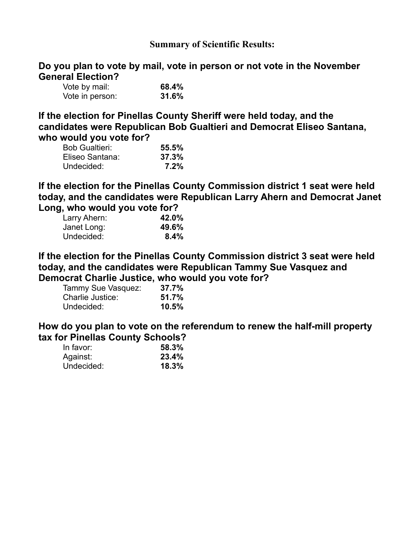### **Summary of Scientific Results:**

**Do you plan to vote by mail, vote in person or not vote in the November General Election?** 

| Vote by mail:   | 68.4% |
|-----------------|-------|
| Vote in person: | 31.6% |

**If the election for Pinellas County Sheriff were held today, and the candidates were Republican Bob Gualtieri and Democrat Eliseo Santana, who would you vote for?** 

| <b>Bob Gualtieri:</b> | 55.5% |
|-----------------------|-------|
| Eliseo Santana:       | 37.3% |
| Undecided:            | 7.2%  |

**If the election for the Pinellas County Commission district 1 seat were held today, and the candidates were Republican Larry Ahern and Democrat Janet Long, who would you vote for?** 

| . .          |       |
|--------------|-------|
| Larry Ahern: | 42.0% |
| Janet Long:  | 49.6% |
| Undecided:   | 8.4%  |

**If the election for the Pinellas County Commission district 3 seat were held today, and the candidates were Republican Tammy Sue Vasquez and Democrat Charlie Justice, who would you vote for?** 

| Tammy Sue Vasquez: | 37.7% |
|--------------------|-------|
| Charlie Justice:   | 51.7% |
| Undecided:         | 10.5% |

**How do you plan to vote on the referendum to renew the half-mill property tax for Pinellas County Schools?** 

| In favor:  | 58.3% |
|------------|-------|
| Against:   | 23.4% |
| Undecided: | 18.3% |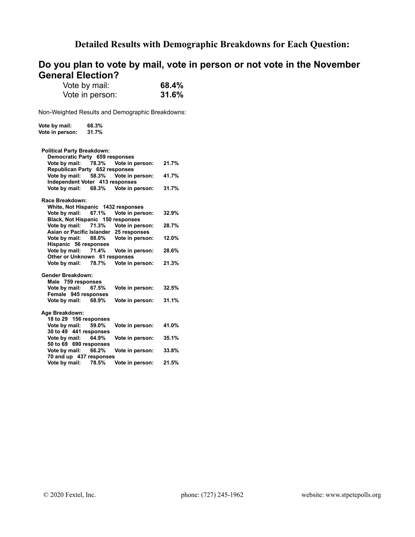## **Detailed Results with Demographic Breakdowns for Each Question:**

# **Do you plan to vote by mail, vote in person or not vote in the November General Election?**

| Vote by mail:   | 68.4% |
|-----------------|-------|
| Vote in person: | 31.6% |

| Vote by mail:                      | 68.3% |                 |       |
|------------------------------------|-------|-----------------|-------|
| Vote in person:                    | 31.7% |                 |       |
|                                    |       |                 |       |
|                                    |       |                 |       |
| <b>Political Party Breakdown:</b>  |       |                 |       |
| Democratic Party 659 responses     |       |                 |       |
| Vote by mail:                      | 78.3% | Vote in person: | 21.7% |
| Republican Party 652 responses     |       |                 |       |
| Vote by mail:                      | 58.3% | Vote in person: | 41.7% |
| Independent Voter 413 responses    |       |                 |       |
| Vote by mail:                      | 68.3% | Vote in person: | 31.7% |
| Race Breakdown:                    |       |                 |       |
| White, Not Hispanic 1432 responses |       |                 |       |
| Vote by mail:                      | 67.1% | Vote in person: | 32.9% |
| Black, Not Hispanic 150 responses  |       |                 |       |
| Vote by mail:                      | 71.3% | Vote in person: | 28.7% |
| Asian or Pacific Islander          |       | 25 responses    |       |
| Vote by mail:                      | 88.0% | Vote in person: | 12.0% |
| Hispanic 56 responses              |       |                 |       |
| Vote by mail:                      | 71.4% | Vote in person: | 28.6% |
| Other or Unknown 61 responses      |       |                 |       |
| Vote by mail:                      | 78.7% | Vote in person: | 21.3% |
|                                    |       |                 |       |
| Gender Breakdown:                  |       |                 |       |
| Male 759 responses                 |       |                 |       |
| Vote by mail:                      | 67.5% | Vote in person: | 32.5% |
| Female 945 responses               |       |                 |       |
| Vote by mail:                      | 68.9% | Vote in person: | 31.1% |
| Age Breakdown:                     |       |                 |       |
| 18 to 29 156 responses             |       |                 |       |
| Vote by mail:                      | 59.0% | Vote in person: | 41.0% |
| 30 to 49 441 responses             |       |                 |       |
| Vote by mail:                      | 64.9% | Vote in person: | 35.1% |
| 50 to 69 690 responses             |       |                 |       |
| Vote by mail:                      | 66.2% | Vote in person: | 33.8% |
| 70 and up 437 responses            |       |                 |       |
| Vote by mail:                      | 78.5% | Vote in person: | 21.5% |
|                                    |       |                 |       |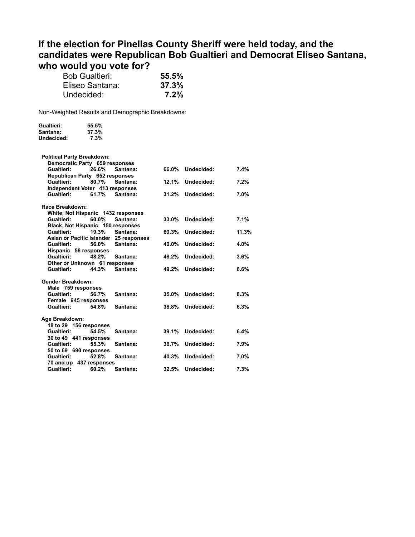# **If the election for Pinellas County Sheriff were held today, and the candidates were Republican Bob Gualtieri and Democrat Eliseo Santana, who would you vote for?**

| <b>Bob Gualtieri:</b> | 55.5% |
|-----------------------|-------|
| Eliseo Santana:       | 37.3% |
| Undecided:            | 7.2%  |

| Gualtieri: | 55.5% |
|------------|-------|
| Santana:   | 37.3% |
| Undecided: | 7.3%  |

| <b>Political Party Breakdown:</b>  |       |              |       |            |       |
|------------------------------------|-------|--------------|-------|------------|-------|
| Democratic Party 659 responses     |       |              |       |            |       |
| Gualtieri:                         | 26.6% | Santana:     | 66.0% | Undecided: | 7.4%  |
| Republican Party 652 responses     |       |              |       |            |       |
| Gualtieri:                         | 80.7% | Santana:     | 12.1% | Undecided: | 7.2%  |
| Independent Voter 413 responses    |       |              |       |            |       |
| Gualtieri:                         | 61.7% | Santana:     | 31.2% | Undecided: | 7.0%  |
| Race Breakdown:                    |       |              |       |            |       |
| White, Not Hispanic 1432 responses |       |              |       |            |       |
| Gualtieri:                         | 60.0% | Santana:     | 33.0% | Undecided: | 7.1%  |
| Black, Not Hispanic 150 responses  |       |              |       |            |       |
| Gualtieri:                         | 19.3% | Santana:     | 69.3% | Undecided: | 11.3% |
| Asian or Pacific Islander          |       | 25 responses |       |            |       |
| Gualtieri:                         | 56.0% | Santana:     | 40.0% | Undecided: | 4.0%  |
| Hispanic 56 responses              |       |              |       |            |       |
| Gualtieri:                         | 48.2% | Santana:     | 48.2% | Undecided: | 3.6%  |
| Other or Unknown 61 responses      |       |              |       |            |       |
| Gualtieri:                         | 44.3% | Santana:     | 49.2% | Undecided: | 6.6%  |
| <b>Gender Breakdown:</b>           |       |              |       |            |       |
| Male 759 responses                 |       |              |       |            |       |
| Gualtieri:                         | 56.7% | Santana:     | 35.0% | Undecided: | 8.3%  |
| Female 945 responses               |       |              |       |            |       |
| Gualtieri:                         | 54.8% | Santana:     | 38.8% | Undecided: | 6.3%  |
| Age Breakdown:                     |       |              |       |            |       |
| 18 to 29 156 responses             |       |              |       |            |       |
| Gualtieri:                         | 54.5% | Santana:     | 39.1% | Undecided: | 6.4%  |
| 30 to 49 441 responses             |       |              |       |            |       |
| Gualtieri:                         | 55.3% | Santana:     | 36.7% | Undecided: | 7.9%  |
| 50 to 69 690 responses             |       |              |       |            |       |
| Gualtieri:                         | 52.8% | Santana:     | 40.3% | Undecided: | 7.0%  |
| 70 and up 437 responses            |       |              |       |            |       |
| Gualtieri:                         | 60.2% | Santana:     | 32.5% | Undecided: | 7.3%  |
|                                    |       |              |       |            |       |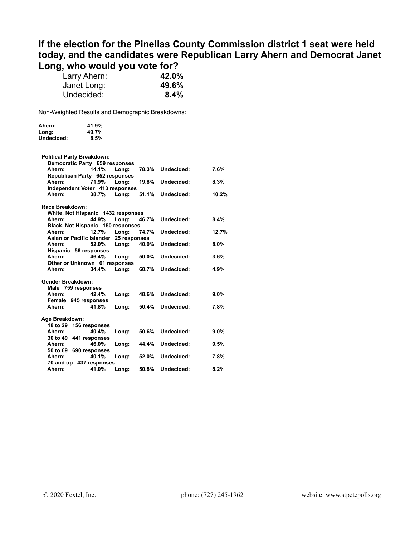## **If the election for the Pinellas County Commission district 1 seat were held today, and the candidates were Republican Larry Ahern and Democrat Janet Long, who would you vote for?**

| Larry Ahern: | 42.0% |
|--------------|-------|
| Janet Long:  | 49.6% |
| Undecided:   | 8.4%  |

| Ahern:            | 41.9%                              |              |       |            |         |
|-------------------|------------------------------------|--------------|-------|------------|---------|
| Long:             | 49.7%                              |              |       |            |         |
| Undecided:        | 8.5%                               |              |       |            |         |
|                   | <b>Political Party Breakdown:</b>  |              |       |            |         |
|                   | Democratic Party 659 responses     |              |       |            |         |
| Ahern:            | 14.1%                              | Long:        | 78.3% | Undecided: | 7.6%    |
|                   | Republican Party 652 responses     |              |       |            |         |
| Ahern:            | 71.9%                              | Long:        | 19.8% | Undecided: | 8.3%    |
|                   | Independent Voter 413 responses    |              |       |            |         |
| Ahern:            | 38.7%                              | Lona:        | 51.1% | Undecided: | 10.2%   |
| Race Breakdown:   |                                    |              |       |            |         |
|                   | White, Not Hispanic 1432 responses |              |       |            |         |
| Ahern:            | 44.9%                              | Long:        | 46.7% | Undecided: | $8.4\%$ |
|                   | Black, Not Hispanic 150 responses  |              |       |            |         |
| Ahern:            | 12.7%                              | Long:        | 74.7% | Undecided: | 12.7%   |
|                   | Asian or Pacific Islander          | 25 responses |       |            |         |
| Ahern:            | 52.0%                              | Long:        | 40.0% | Undecided: | 8.0%    |
| Ahern:            | Hispanic 56 responses<br>46.4%     | Long:        | 50.0% | Undecided: | 3.6%    |
|                   | Other or Unknown 61 responses      |              |       |            |         |
| Ahern:            | 34.4%                              | Long:        | 60.7% | Undecided: | 4.9%    |
|                   |                                    |              |       |            |         |
| Gender Breakdown: |                                    |              |       |            |         |
|                   | Male 759 responses                 |              |       |            |         |
| Ahern:            | 42.4%                              | Long:        | 48.6% | Undecided: | 9.0%    |
|                   | Female 945 responses               |              |       |            |         |
| Ahern:            | 41.8%                              | Long:        | 50.4% | Undecided: | 7.8%    |
| Age Breakdown:    |                                    |              |       |            |         |
| 18 to 29          | 156 responses                      |              |       |            |         |
| Ahern:            | 40.4%                              | Long:        | 50.6% | Undecided: | $9.0\%$ |
|                   | 30 to 49 441 responses             |              |       |            |         |
| Ahern:            | 46.0%                              | Long:        | 44.4% | Undecided: | 9.5%    |
|                   | 50 to 69 690 responses             |              |       |            |         |
| Ahern:            | 40.1%                              | Long:        | 52.0% | Undecided: | 7.8%    |
|                   | 70 and up 437 responses            |              |       |            |         |
| Ahern:            | 41.0%                              | Long:        | 50.8% | Undecided: | 8.2%    |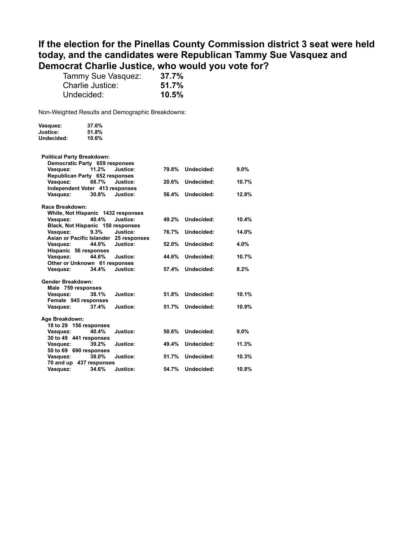## **If the election for the Pinellas County Commission district 3 seat were held today, and the candidates were Republican Tammy Sue Vasquez and Democrat Charlie Justice, who would you vote for?**

| Tammy Sue Vasquez: | 37.7% |
|--------------------|-------|
| Charlie Justice:   | 51.7% |
| Undecided:         | 10.5% |

| Vasquez:   | 37.6% |
|------------|-------|
| Justice:   | 51.8% |
| Undecided: | 10.6% |

|                                    | <b>Political Party Breakdown:</b> |              |       |            |         |
|------------------------------------|-----------------------------------|--------------|-------|------------|---------|
| Democratic Party 659 responses     |                                   |              |       |            |         |
| Vasquez:                           | 11.2%                             | Justice:     | 79.8% | Undecided: | $9.0\%$ |
| Republican Party 652 responses     |                                   |              |       |            |         |
| Vasquez:                           | 68.7%                             | Justice:     | 20.6% | Undecided: | 10.7%   |
| Independent Voter 413 responses    |                                   |              |       |            |         |
| Vasquez:                           | 30.8%                             | Justice:     | 56.4% | Undecided: | 12.8%   |
|                                    |                                   |              |       |            |         |
| Race Breakdown:                    |                                   |              |       |            |         |
| White, Not Hispanic 1432 responses |                                   |              |       |            |         |
| Vasquez:                           | 40.4%                             | Justice:     | 49.2% | Undecided: | 10.4%   |
| Black, Not Hispanic 150 responses  |                                   |              |       |            |         |
| Vasquez:                           | 9.3%                              | Justice:     | 76.7% | Undecided: | 14.0%   |
| Asian or Pacific Islander          |                                   | 25 responses |       |            |         |
| Vasquez:                           | 44.0%                             | Justice:     | 52.0% | Undecided: | 4.0%    |
| Hispanic 56 responses              |                                   |              |       |            |         |
| Vasquez:                           | 44.6%                             | Justice:     | 44.6% | Undecided: | 10.7%   |
|                                    | Other or Unknown 61 responses     |              |       |            |         |
| Vasquez:                           | 34.4%                             | Justice:     | 57.4% | Undecided: | 8.2%    |
|                                    |                                   |              |       |            |         |
| <b>Gender Breakdown:</b>           |                                   |              |       |            |         |
| Male 759 responses                 |                                   |              |       |            |         |
| Vasquez:                           | 38.1%                             | Justice:     | 51.8% | Undecided: | 10.1%   |
| Female 945 responses               |                                   |              |       |            |         |
| Vasquez:                           | 37.4%                             | Justice:     | 51.7% | Undecided: | 10.9%   |
|                                    |                                   |              |       |            |         |
| Age Breakdown:                     |                                   |              |       |            |         |
| 18 to 29 156 responses             |                                   |              |       |            |         |
| Vasquez:                           | 40.4%                             | Justice:     | 50.6% | Undecided: | 9.0%    |
| 30 to 49 441 responses             |                                   |              |       |            |         |
| Vasquez:                           | 39.2%                             | Justice:     | 49.4% | Undecided: | 11.3%   |
| 50 to 69 690 responses             |                                   |              |       |            |         |
| Vasquez:                           | 38.0%                             | Justice:     | 51.7% | Undecided: | 10.3%   |
| 70 and up 437 responses            |                                   |              |       |            |         |
| Vasquez:                           | 34.6%                             | Justice:     | 54.7% | Undecided: | 10.8%   |
|                                    |                                   |              |       |            |         |